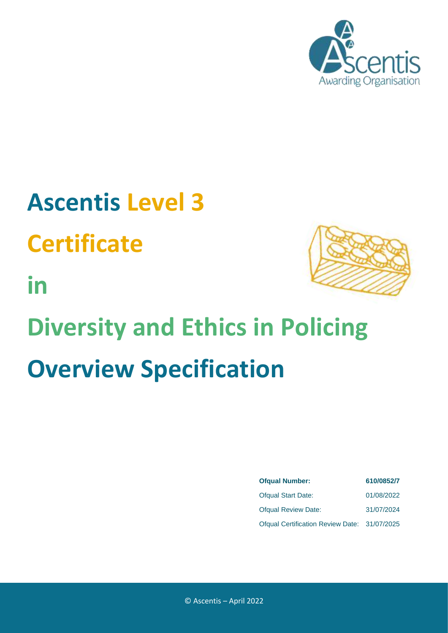

# **Ascentis Level 3**

**Certificate**

**in**



# **Diversity and Ethics in Policing Overview Specification**

| <b>Ofqual Number:</b>                        | 610/0852/7 |
|----------------------------------------------|------------|
| <b>Ofqual Start Date:</b>                    | 01/08/2022 |
| <b>Ofqual Review Date:</b>                   | 31/07/2024 |
| Ofqual Certification Review Date: 31/07/2025 |            |

© Ascentis – April 2022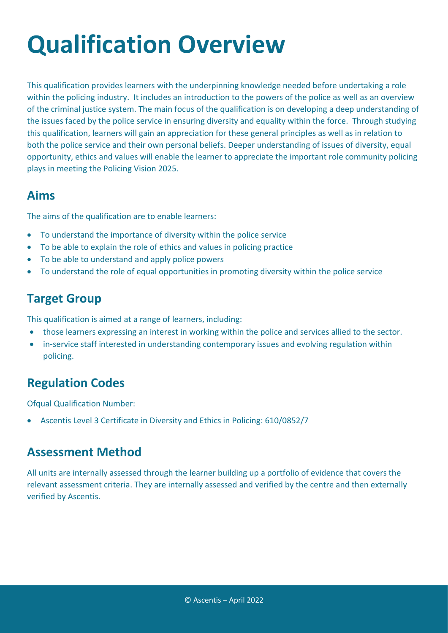## **Qualification Overview**

This qualification provides learners with the underpinning knowledge needed before undertaking a role within the policing industry. It includes an introduction to the powers of the police as well as an overview of the criminal justice system. The main focus of the qualification is on developing a deep understanding of the issues faced by the police service in ensuring diversity and equality within the force. Through studying this qualification, learners will gain an appreciation for these general principles as well as in relation to both the police service and their own personal beliefs. Deeper understanding of issues of diversity, equal opportunity, ethics and values will enable the learner to appreciate the important role community policing plays in meeting the Policing Vision 2025.

### **Aims**

The aims of the qualification are to enable learners:

- To understand the importance of diversity within the police service
- To be able to explain the role of ethics and values in policing practice
- To be able to understand and apply police powers
- To understand the role of equal opportunities in promoting diversity within the police service

### **Target Group**

This qualification is aimed at a range of learners, including:

- those learners expressing an interest in working within the police and services allied to the sector.
- in-service staff interested in understanding contemporary issues and evolving regulation within policing.

### **Regulation Codes**

Ofqual Qualification Number:

• Ascentis Level 3 Certificate in Diversity and Ethics in Policing: 610/0852/7

#### **Assessment Method**

All units are internally assessed through the learner building up a portfolio of evidence that covers the relevant assessment criteria. They are internally assessed and verified by the centre and then externally verified by Ascentis.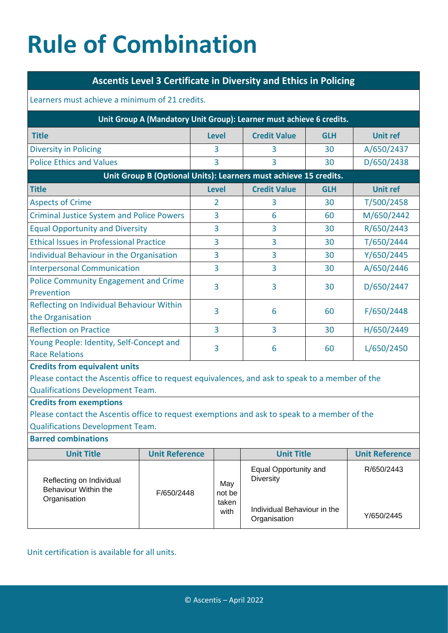## **Rule of Combination**

#### **Ascentis Level 3 Certificate in Diversity and Ethics in Policing**

#### Learners must achieve a minimum of 21 credits.

| Unit Group A (Mandatory Unit Group): Learner must achieve 6 credits.                                                                                                      |                       |              |                     |            |                       |  |  |
|---------------------------------------------------------------------------------------------------------------------------------------------------------------------------|-----------------------|--------------|---------------------|------------|-----------------------|--|--|
| <b>Title</b>                                                                                                                                                              |                       | <b>Level</b> | <b>Credit Value</b> | <b>GLH</b> | <b>Unit ref</b>       |  |  |
| <b>Diversity in Policing</b>                                                                                                                                              |                       | 3            | 3                   | 30         | A/650/2437            |  |  |
| <b>Police Ethics and Values</b>                                                                                                                                           |                       | 3            | 3                   | 30         | D/650/2438            |  |  |
| Unit Group B (Optional Units): Learners must achieve 15 credits.                                                                                                          |                       |              |                     |            |                       |  |  |
| <b>Title</b>                                                                                                                                                              |                       | <b>Level</b> | <b>Credit Value</b> | <b>GLH</b> | <b>Unit ref</b>       |  |  |
| <b>Aspects of Crime</b>                                                                                                                                                   |                       | 2            | 3                   | 30         | T/500/2458            |  |  |
| <b>Criminal Justice System and Police Powers</b>                                                                                                                          |                       | 3            | 6                   | 60         | M/650/2442            |  |  |
| <b>Equal Opportunity and Diversity</b>                                                                                                                                    |                       | 3            | 3                   | 30         | R/650/2443            |  |  |
| <b>Ethical Issues in Professional Practice</b>                                                                                                                            |                       | 3            | 3                   | 30         | T/650/2444            |  |  |
| Individual Behaviour in the Organisation                                                                                                                                  |                       | 3            | 3                   | 30         | Y/650/2445            |  |  |
| <b>Interpersonal Communication</b>                                                                                                                                        |                       | 3            | 3                   | 30         | A/650/2446            |  |  |
| <b>Police Community Engagement and Crime</b><br>Prevention                                                                                                                |                       | 3            | 3                   | 30         | D/650/2447            |  |  |
| Reflecting on Individual Behaviour Within<br>the Organisation                                                                                                             |                       | 3            | 6                   | 60         | F/650/2448            |  |  |
| <b>Reflection on Practice</b>                                                                                                                                             |                       | 3            | 3                   | 30         | H/650/2449            |  |  |
| Young People: Identity, Self-Concept and<br><b>Race Relations</b>                                                                                                         |                       | 3            | 6                   | 60         | L/650/2450            |  |  |
| <b>Credits from equivalent units</b><br>Please contact the Ascentis office to request equivalences, and ask to speak to a member of the                                   |                       |              |                     |            |                       |  |  |
| <b>Qualifications Development Team.</b>                                                                                                                                   |                       |              |                     |            |                       |  |  |
| <b>Credits from exemptions</b><br>Please contact the Ascentis office to request exemptions and ask to speak to a member of the<br><b>Qualifications Development Team.</b> |                       |              |                     |            |                       |  |  |
| <b>Barred combinations</b>                                                                                                                                                |                       |              |                     |            |                       |  |  |
| $H = H + H$                                                                                                                                                               | <b>Unit Deference</b> |              | $H = H + H$         |            | <b>Unit Deference</b> |  |  |

|                                                                                                                                                                              | <b>Unit Title</b> | <b>Unit Reference</b> | <b>Unit Title</b>     | <b>Unit Reference</b>    |
|------------------------------------------------------------------------------------------------------------------------------------------------------------------------------|-------------------|-----------------------|-----------------------|--------------------------|
| Diversity<br>Reflecting on Individual<br>May<br>Behaviour Within the<br>F/650/2448<br>not be<br>Organisation<br>taken<br>Individual Behaviour in the<br>with<br>Organisation |                   |                       | Equal Opportunity and | R/650/2443<br>Y/650/2445 |

Unit certification is available for all units.